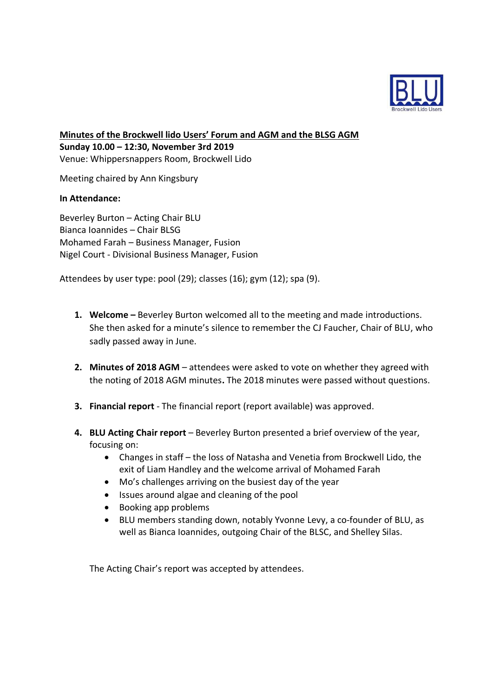

**Minutes of the Brockwell lido Users' Forum and AGM and the BLSG AGM Sunday 10.00 – 12:30, November 3rd 2019** Venue: Whippersnappers Room, Brockwell Lido

Meeting chaired by Ann Kingsbury

# **In Attendance:**

Beverley Burton – Acting Chair BLU Bianca Ioannides – Chair BLSG Mohamed Farah – Business Manager, Fusion Nigel Court - Divisional Business Manager, Fusion

Attendees by user type: pool (29); classes (16); gym (12); spa (9).

- **1. Welcome –** Beverley Burton welcomed all to the meeting and made introductions. She then asked for a minute's silence to remember the CJ Faucher, Chair of BLU, who sadly passed away in June.
- **2. Minutes of 2018 AGM** attendees were asked to vote on whether they agreed with the noting of 2018 AGM minutes**.** The 2018 minutes were passed without questions.
- **3. Financial report** The financial report (report available) was approved.
- **4. BLU Acting Chair report** Beverley Burton presented a brief overview of the year, focusing on:
	- Changes in staff the loss of Natasha and Venetia from Brockwell Lido, the exit of Liam Handley and the welcome arrival of Mohamed Farah
	- Mo's challenges arriving on the busiest day of the year
	- Issues around algae and cleaning of the pool
	- Booking app problems
	- BLU members standing down, notably Yvonne Levy, a co-founder of BLU, as well as Bianca Ioannides, outgoing Chair of the BLSC, and Shelley Silas.

The Acting Chair's report was accepted by attendees.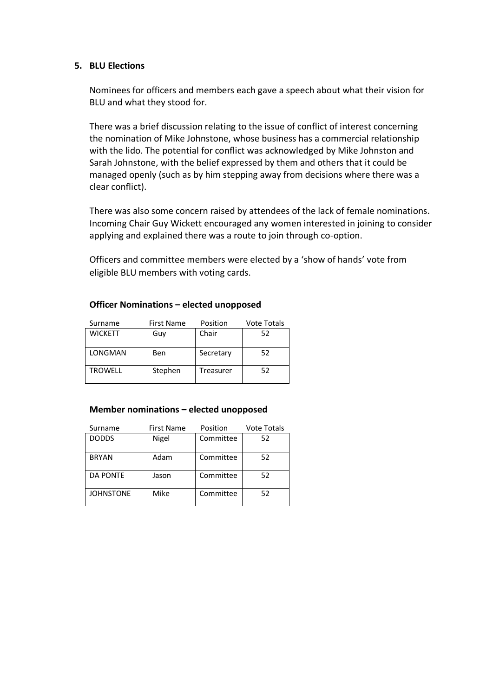## **5. BLU Elections**

Nominees for officers and members each gave a speech about what their vision for BLU and what they stood for.

There was a brief discussion relating to the issue of conflict of interest concerning the nomination of Mike Johnstone, whose business has a commercial relationship with the lido. The potential for conflict was acknowledged by Mike Johnston and Sarah Johnstone, with the belief expressed by them and others that it could be managed openly (such as by him stepping away from decisions where there was a clear conflict).

There was also some concern raised by attendees of the lack of female nominations. Incoming Chair Guy Wickett encouraged any women interested in joining to consider applying and explained there was a route to join through co-option.

Officers and committee members were elected by a 'show of hands' vote from eligible BLU members with voting cards.

| Surname        | <b>First Name</b><br>Position |           | Vote Totals |
|----------------|-------------------------------|-----------|-------------|
| <b>WICKETT</b> | Guv                           | Chair     | 52          |
|                |                               |           |             |
| LONGMAN        | Ben                           | Secretary | 52          |
| TROWELL        | Stephen                       | Treasurer | 52          |

## **Officer Nominations – elected unopposed**

#### **Member nominations – elected unopposed**

| Surname          | <b>First Name</b><br>Position |           | <b>Vote Totals</b> |
|------------------|-------------------------------|-----------|--------------------|
| <b>DODDS</b>     | Nigel                         | Committee | 52                 |
| <b>BRYAN</b>     | Adam                          | Committee | 52                 |
| <b>DA PONTE</b>  | Jason                         | Committee | 52                 |
| <b>JOHNSTONE</b> | Mike                          | Committee | 52                 |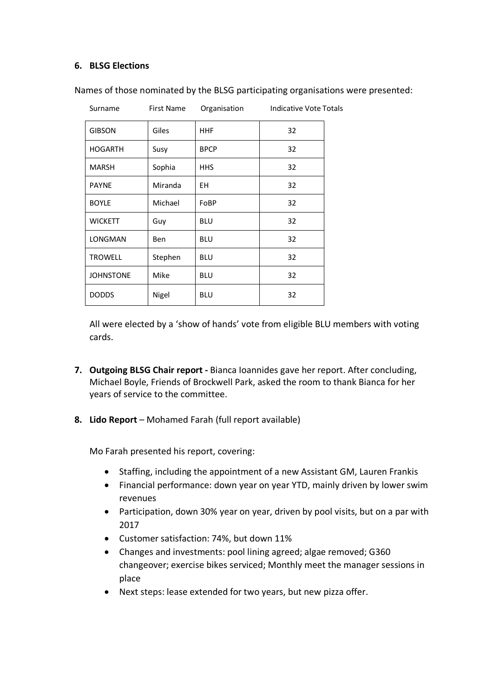# **6. BLSG Elections**

| Surname          | <b>First Name</b> | Organisation | Indicative Vote Totals |
|------------------|-------------------|--------------|------------------------|
| <b>GIBSON</b>    | Giles             | <b>HHF</b>   | 32                     |
| <b>HOGARTH</b>   | Susy              | <b>BPCP</b>  | 32                     |
| <b>MARSH</b>     | Sophia            | <b>HHS</b>   | 32                     |
| <b>PAYNE</b>     | Miranda           | ΕH           | 32                     |
| <b>BOYLE</b>     | Michael           | FoBP         | 32                     |
| <b>WICKETT</b>   | Guy               | <b>BLU</b>   | 32                     |
| <b>LONGMAN</b>   | <b>Ben</b>        | <b>BLU</b>   | 32                     |
| <b>TROWELL</b>   | Stephen           | <b>BLU</b>   | 32                     |
| <b>JOHNSTONE</b> | Mike              | <b>BLU</b>   | 32                     |
| <b>DODDS</b>     | Nigel             | <b>BLU</b>   | 32                     |

Names of those nominated by the BLSG participating organisations were presented:

All were elected by a 'show of hands' vote from eligible BLU members with voting cards.

- **7. Outgoing BLSG Chair report -** Bianca Ioannides gave her report. After concluding, Michael Boyle, Friends of Brockwell Park, asked the room to thank Bianca for her years of service to the committee.
- **8. Lido Report** Mohamed Farah (full report available)

Mo Farah presented his report, covering:

- Staffing, including the appointment of a new Assistant GM, Lauren Frankis
- Financial performance: down year on year YTD, mainly driven by lower swim revenues
- Participation, down 30% year on year, driven by pool visits, but on a par with 2017
- Customer satisfaction: 74%, but down 11%
- Changes and investments: pool lining agreed; algae removed; G360 changeover; exercise bikes serviced; Monthly meet the manager sessions in place
- Next steps: lease extended for two years, but new pizza offer.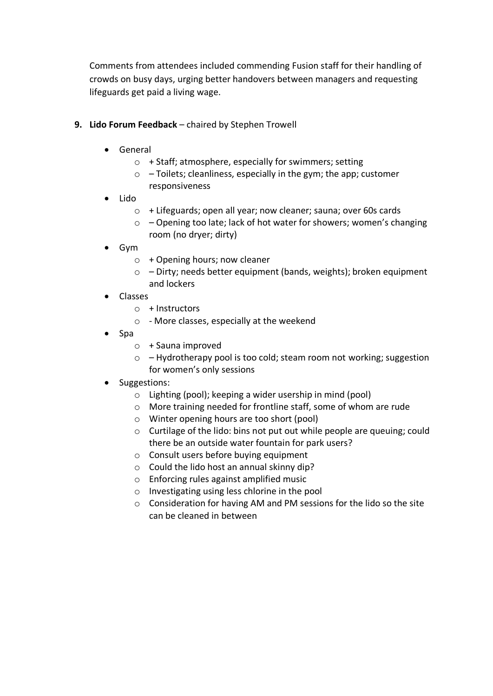Comments from attendees included commending Fusion staff for their handling of crowds on busy days, urging better handovers between managers and requesting lifeguards get paid a living wage.

- **9. Lido Forum Feedback** chaired by Stephen Trowell
	- General
		- o + Staff; atmosphere, especially for swimmers; setting
		- $\circ$  Toilets; cleanliness, especially in the gym; the app; customer responsiveness
	- Lido
		- o + Lifeguards; open all year; now cleaner; sauna; over 60s cards
		- $\circ$  Opening too late; lack of hot water for showers; women's changing room (no dryer; dirty)
	- Gym
		- $\circ$  + Opening hours; now cleaner
		- o Dirty; needs better equipment (bands, weights); broken equipment and lockers
	- Classes
		- $\circ$  + Instructors
		- o More classes, especially at the weekend
	- Spa
		- $\circ$  + Sauna improved
		- o Hydrotherapy pool is too cold; steam room not working; suggestion for women's only sessions
	- Suggestions:
		- o Lighting (pool); keeping a wider usership in mind (pool)
		- o More training needed for frontline staff, some of whom are rude
		- o Winter opening hours are too short (pool)
		- o Curtilage of the lido: bins not put out while people are queuing; could there be an outside water fountain for park users?
		- o Consult users before buying equipment
		- o Could the lido host an annual skinny dip?
		- o Enforcing rules against amplified music
		- o Investigating using less chlorine in the pool
		- o Consideration for having AM and PM sessions for the lido so the site can be cleaned in between